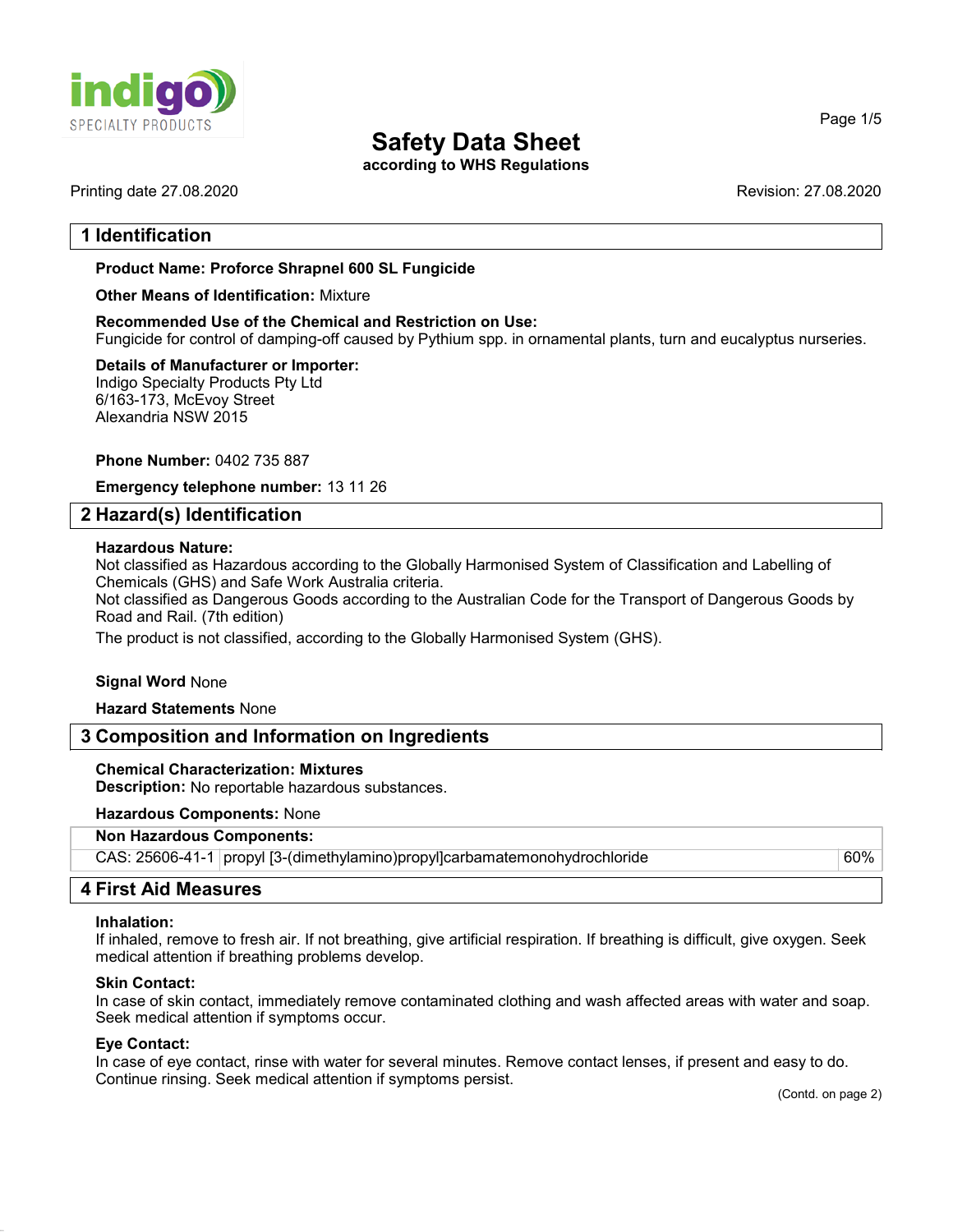

according to WHS Regulations

# 1 Identification

### Product Name: **Proforce Shrapnel 600 SL** Fungicide

### Other Means of Identification: Mixture

Recommended Use of the Chemical and Restriction on Use: Fungicide for control of damping-off caused by Pythium spp. in ornamental plants, turn and eucalyptus nurseries.

#### Details of Manufacturer or Importer: Indigo Specialty Products Pty Ltd

6/163-173, McEvoy Street Alexandria NSW 2015

### Phone Number: 0402 735 887

Emergency telephone number: 13 11 26

### 2 Hazard(s) Identification

### Hazardous Nature:

Not classified as Hazardous according to the Globally Harmonised System of Classification and Labelling of Chemicals (GHS) and Safe Work Australia criteria.

Not classified as Dangerous Goods according to the Australian Code for the Transport of Dangerous Goods by Road and Rail. (7th edition)

The product is not classified, according to the Globally Harmonised System (GHS).

### Signal Word None

Hazard Statements None

### 3 Composition and Information on Ingredients

# Chemical Characterization: Mixtures

Description: No reportable hazardous substances.

### Hazardous Components: None

### Non Hazardous Components:

| CAS: 25606-41-1   propyl [3-(dimethylamino) propyl]carbamatemonohydrochloride | 60% |
|-------------------------------------------------------------------------------|-----|

# 4 First Aid Measures

### Inhalation:

If inhaled, remove to fresh air. If not breathing, give artificial respiration. If breathing is difficult, give oxygen. Seek medical attention if breathing problems develop.

### Skin Contact:

In case of skin contact, immediately remove contaminated clothing and wash affected areas with water and soap. Seek medical attention if symptoms occur.

### Eye Contact:

In case of eye contact, rinse with water for several minutes. Remove contact lenses, if present and easy to do. Continue rinsing. Seek medical attention if symptoms persist.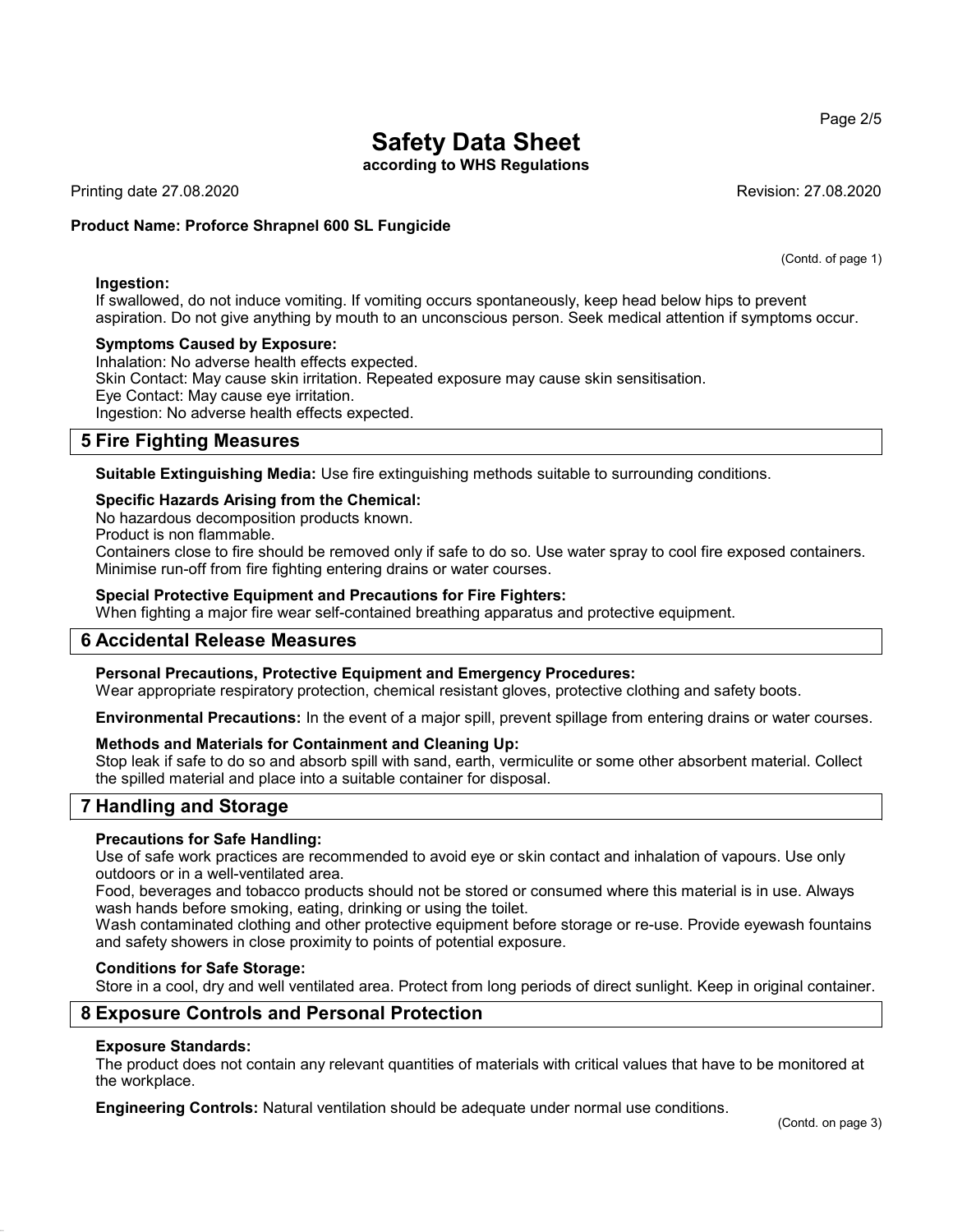according to WHS Regulations

Printing date 27.08.2020 Revision: 27.08.2020

### Product Name: **Proforce Shrapnel 600 SL Fungicide**

### Ingestion:

If swallowed, do not induce vomiting. If vomiting occurs spontaneously, keep head below hips to prevent aspiration. Do not give anything by mouth to an unconscious person. Seek medical attention if symptoms occur.

### Symptoms Caused by Exposure:

Inhalation: No adverse health effects expected.

Skin Contact: May cause skin irritation. Repeated exposure may cause skin sensitisation.

Eye Contact: May cause eye irritation.

Ingestion: No adverse health effects expected.

# 5 Fire Fighting Measures

Suitable Extinguishing Media: Use fire extinguishing methods suitable to surrounding conditions.

### Specific Hazards Arising from the Chemical:

No hazardous decomposition products known.

Product is non flammable.

Containers close to fire should be removed only if safe to do so. Use water spray to cool fire exposed containers. Minimise run-off from fire fighting entering drains or water courses.

### Special Protective Equipment and Precautions for Fire Fighters:

When fighting a major fire wear self-contained breathing apparatus and protective equipment.

# 6 Accidental Release Measures

### Personal Precautions, Protective Equipment and Emergency Procedures:

Wear appropriate respiratory protection, chemical resistant gloves, protective clothing and safety boots.

Environmental Precautions: In the event of a major spill, prevent spillage from entering drains or water courses.

### Methods and Materials for Containment and Cleaning Up:

Stop leak if safe to do so and absorb spill with sand, earth, vermiculite or some other absorbent material. Collect the spilled material and place into a suitable container for disposal.

# 7 Handling and Storage

### Precautions for Safe Handling:

Use of safe work practices are recommended to avoid eye or skin contact and inhalation of vapours. Use only outdoors or in a well-ventilated area.

Food, beverages and tobacco products should not be stored or consumed where this material is in use. Always wash hands before smoking, eating, drinking or using the toilet.

Wash contaminated clothing and other protective equipment before storage or re-use. Provide eyewash fountains and safety showers in close proximity to points of potential exposure.

### Conditions for Safe Storage:

Store in a cool, dry and well ventilated area. Protect from long periods of direct sunlight. Keep in original container.

# 8 Exposure Controls and Personal Protection

### Exposure Standards:

The product does not contain any relevant quantities of materials with critical values that have to be monitored at the workplace.

Engineering Controls: Natural ventilation should be adequate under normal use conditions.

(Contd. of page 1)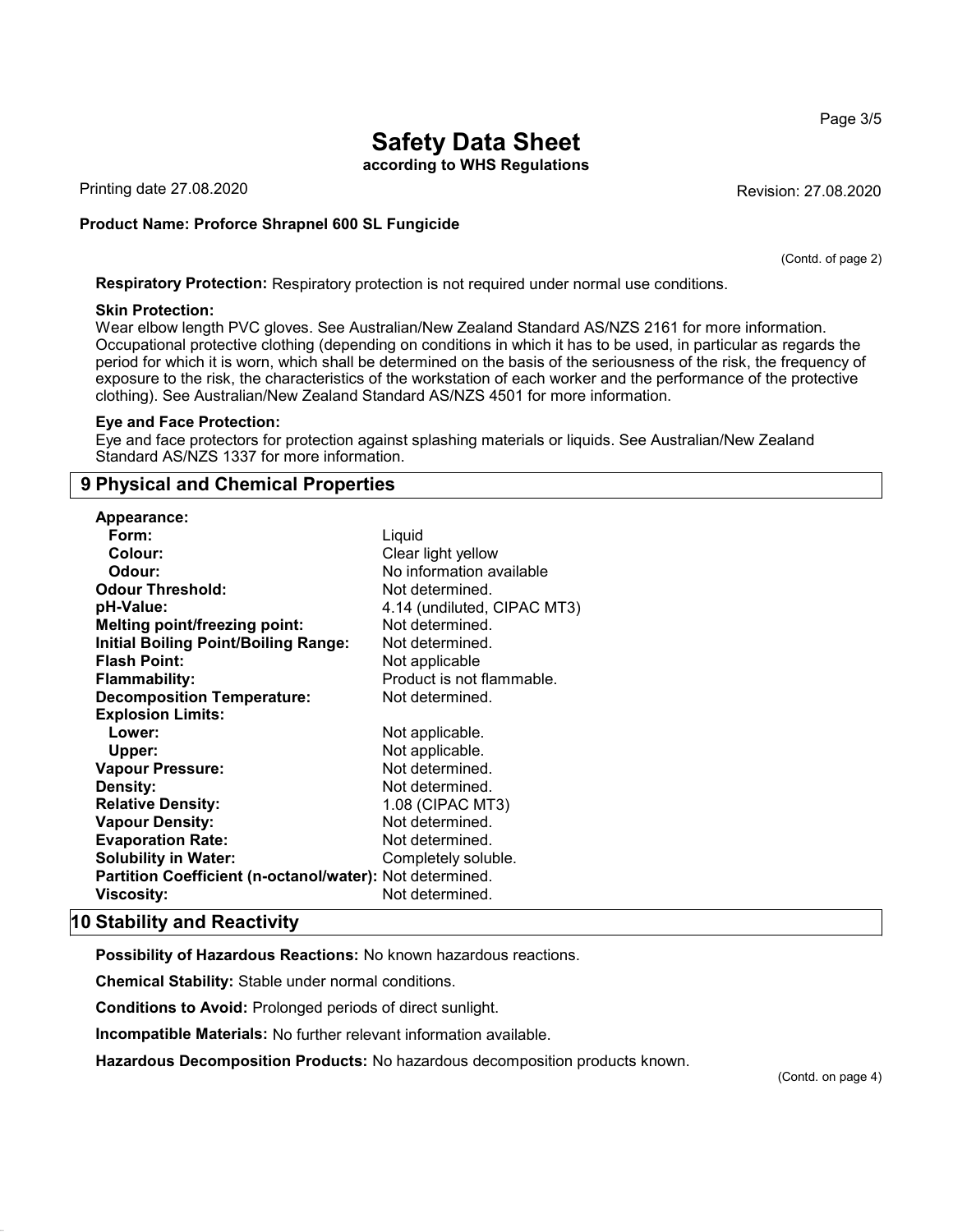according to WHS Regulations

Printing date 27.08.2020 **Revision: 27.08.2020** Revision: 27.08.2020

### Product Name: **Proforce Shrapnel 600 SL Fungicide**

(Contd. of page 2)

Page 3/5

Respiratory Protection: Respiratory protection is not required under normal use conditions.

### Skin Protection:

Wear elbow length PVC gloves. See Australian/New Zealand Standard AS/NZS 2161 for more information. Occupational protective clothing (depending on conditions in which it has to be used, in particular as regards the period for which it is worn, which shall be determined on the basis of the seriousness of the risk, the frequency of exposure to the risk, the characteristics of the workstation of each worker and the performance of the protective clothing). See Australian/New Zealand Standard AS/NZS 4501 for more information.

#### Eye and Face Protection:

Eye and face protectors for protection against splashing materials or liquids. See Australian/New Zealand Standard AS/NZS 1337 for more information.

# 9 Physical and Chemical Properties

| Appearance:                                              |                             |
|----------------------------------------------------------|-----------------------------|
| Form:                                                    | Liquid                      |
| Colour:                                                  | Clear light yellow          |
| Odour:                                                   | No information available    |
| <b>Odour Threshold:</b>                                  | Not determined.             |
| pH-Value:                                                | 4.14 (undiluted, CIPAC MT3) |
| <b>Melting point/freezing point:</b>                     | Not determined.             |
| <b>Initial Boiling Point/Boiling Range:</b>              | Not determined.             |
| <b>Flash Point:</b>                                      | Not applicable              |
| <b>Flammability:</b>                                     | Product is not flammable.   |
| <b>Decomposition Temperature:</b>                        | Not determined.             |
| <b>Explosion Limits:</b>                                 |                             |
| Lower:                                                   | Not applicable.             |
| Upper:                                                   | Not applicable.             |
| <b>Vapour Pressure:</b>                                  | Not determined.             |
| <b>Density:</b>                                          | Not determined.             |
| <b>Relative Density:</b>                                 | 1.08 (CIPAC MT3)            |
| <b>Vapour Density:</b>                                   | Not determined.             |
| <b>Evaporation Rate:</b>                                 | Not determined.             |
| <b>Solubility in Water:</b>                              | Completely soluble.         |
| Partition Coefficient (n-octanol/water): Not determined. |                             |
| Viscosity:                                               | Not determined.             |

# 10 Stability and Reactivity

Possibility of Hazardous Reactions: No known hazardous reactions.

Chemical Stability: Stable under normal conditions.

Conditions to Avoid: Prolonged periods of direct sunlight.

Incompatible Materials: No further relevant information available.

Hazardous Decomposition Products: No hazardous decomposition products known.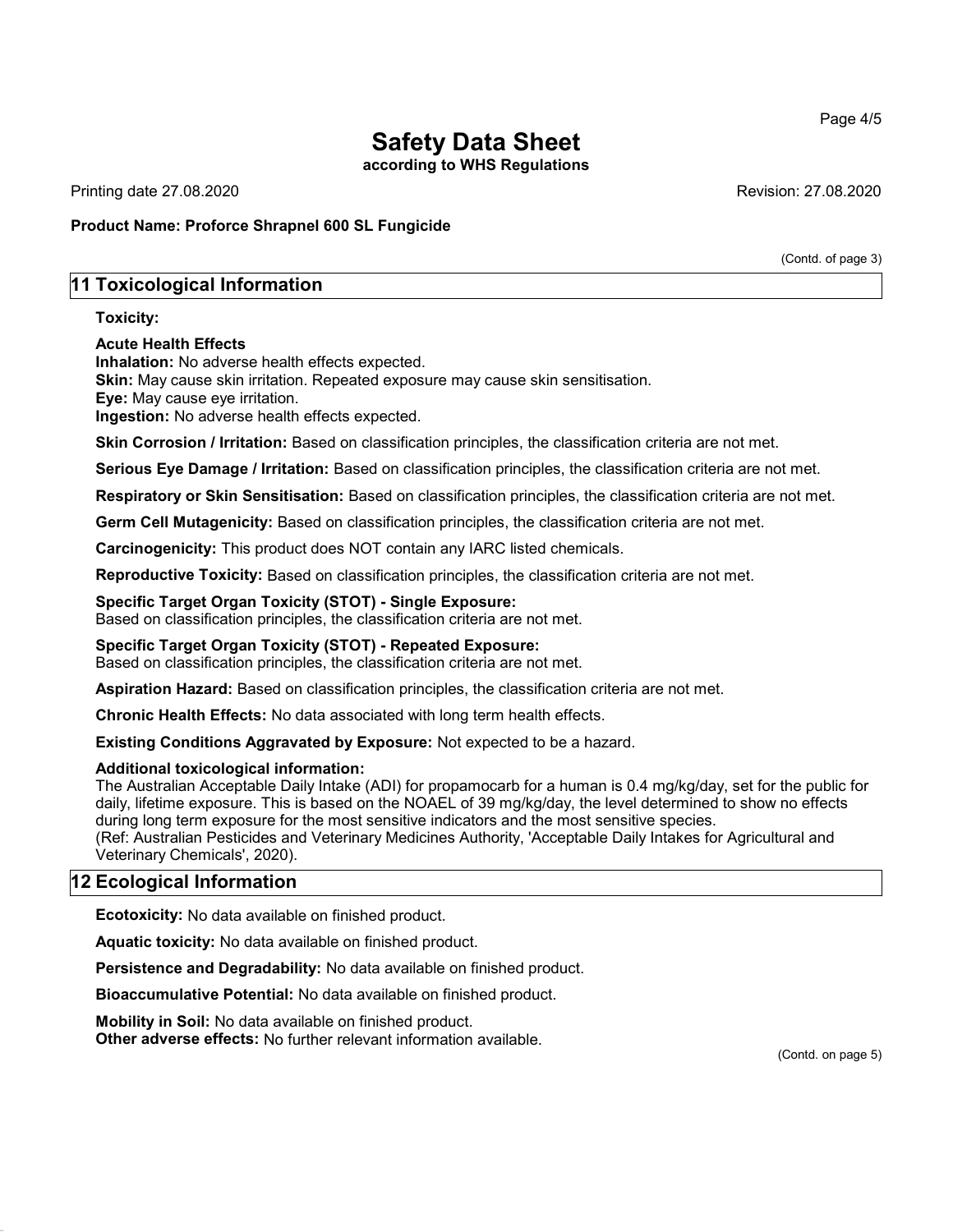according to WHS Regulations

Printing date 27.08.2020 Revision: 27.08.2020

Product Name: **Proforce Shrapnel 600 SL Fungicide**

# 11 Toxicological Information

### Toxicity:

### Acute Health Effects

Inhalation: No adverse health effects expected.

Skin: May cause skin irritation. Repeated exposure may cause skin sensitisation.

Eye: May cause eye irritation.

Ingestion: No adverse health effects expected.

Skin Corrosion / Irritation: Based on classification principles, the classification criteria are not met.

Serious Eye Damage / Irritation: Based on classification principles, the classification criteria are not met.

Respiratory or Skin Sensitisation: Based on classification principles, the classification criteria are not met.

Germ Cell Mutagenicity: Based on classification principles, the classification criteria are not met.

Carcinogenicity: This product does NOT contain any IARC listed chemicals.

Reproductive Toxicity: Based on classification principles, the classification criteria are not met.

### Specific Target Organ Toxicity (STOT) - Single Exposure:

Based on classification principles, the classification criteria are not met.

### Specific Target Organ Toxicity (STOT) - Repeated Exposure:

Based on classification principles, the classification criteria are not met.

Aspiration Hazard: Based on classification principles, the classification criteria are not met.

Chronic Health Effects: No data associated with long term health effects.

Existing Conditions Aggravated by Exposure: Not expected to be a hazard.

### Additional toxicological information:

The Australian Acceptable Daily Intake (ADI) for propamocarb for a human is 0.4 mg/kg/day, set for the public for daily, lifetime exposure. This is based on the NOAEL of 39 mg/kg/day, the level determined to show no effects during long term exposure for the most sensitive indicators and the most sensitive species. (Ref: Australian Pesticides and Veterinary Medicines Authority, 'Acceptable Daily Intakes for Agricultural and Veterinary Chemicals', 2020).

# 12 Ecological Information

Ecotoxicity: No data available on finished product.

Aquatic toxicity: No data available on finished product.

Persistence and Degradability: No data available on finished product.

Bioaccumulative Potential: No data available on finished product.

Mobility in Soil: No data available on finished product.

Other adverse effects: No further relevant information available.

(Contd. on page 5)

Page 4/5

(Contd. of page 3)